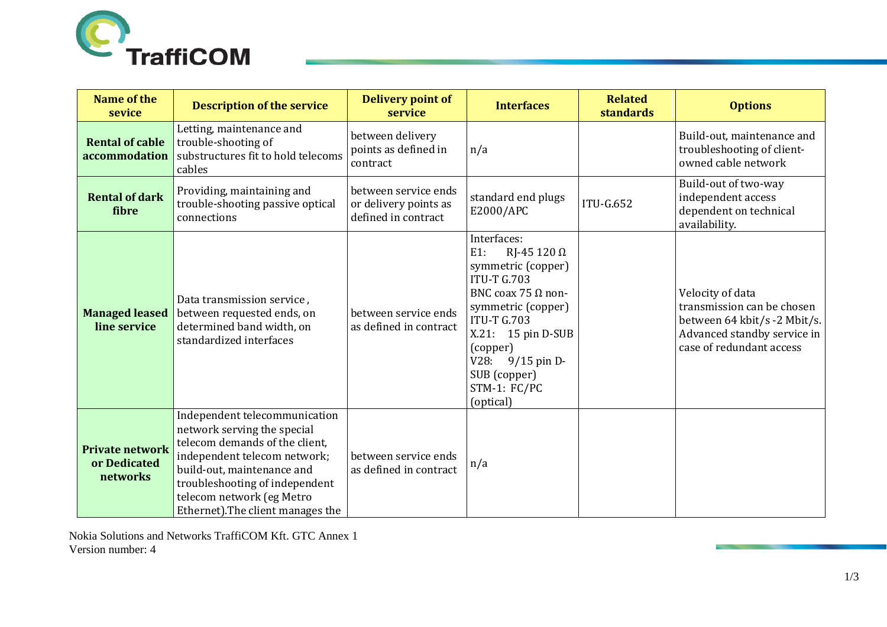

| <b>Name of the</b><br>sevice                       | <b>Description of the service</b>                                                                                                                                                                                                                                | <b>Delivery point of</b><br>service                                  | <b>Interfaces</b>                                                                                                                                                                                                                                                        | <b>Related</b><br><b>standards</b> | <b>Options</b>                                                                                                                            |
|----------------------------------------------------|------------------------------------------------------------------------------------------------------------------------------------------------------------------------------------------------------------------------------------------------------------------|----------------------------------------------------------------------|--------------------------------------------------------------------------------------------------------------------------------------------------------------------------------------------------------------------------------------------------------------------------|------------------------------------|-------------------------------------------------------------------------------------------------------------------------------------------|
| <b>Rental of cable</b><br>accommodation            | Letting, maintenance and<br>trouble-shooting of<br>substructures fit to hold telecoms<br>cables                                                                                                                                                                  | between delivery<br>points as defined in<br>contract                 | n/a                                                                                                                                                                                                                                                                      |                                    | Build-out, maintenance and<br>troubleshooting of client-<br>owned cable network                                                           |
| <b>Rental of dark</b><br>fibre                     | Providing, maintaining and<br>trouble-shooting passive optical<br>connections                                                                                                                                                                                    | between service ends<br>or delivery points as<br>defined in contract | standard end plugs<br>E2000/APC                                                                                                                                                                                                                                          | <b>ITU-G.652</b>                   | Build-out of two-way<br>independent access<br>dependent on technical<br>availability.                                                     |
| <b>Managed leased</b><br>line service              | Data transmission service,<br>between requested ends, on<br>determined band width, on<br>standardized interfaces                                                                                                                                                 | between service ends<br>as defined in contract                       | Interfaces:<br>RJ-45 120 $\Omega$<br>$E1$ :<br>symmetric (copper)<br><b>ITU-T G.703</b><br>BNC coax 75 $\Omega$ non-<br>symmetric (copper)<br><b>ITU-T G.703</b><br>X.21: 15 pin D-SUB<br>(copper)<br>V28:<br>$9/15$ pin D-<br>SUB (copper)<br>STM-1: FC/PC<br>(optical) |                                    | Velocity of data<br>transmission can be chosen<br>between 64 kbit/s -2 Mbit/s.<br>Advanced standby service in<br>case of redundant access |
| <b>Private network</b><br>or Dedicated<br>networks | Independent telecommunication<br>network serving the special<br>telecom demands of the client,<br>independent telecom network;<br>build-out, maintenance and<br>troubleshooting of independent<br>telecom network (eg Metro<br>Ethernet). The client manages the | between service ends<br>as defined in contract                       | n/a                                                                                                                                                                                                                                                                      |                                    |                                                                                                                                           |

Nokia Solutions and Networks TraffiCOM Kft. GTC Annex 1 Version number: 4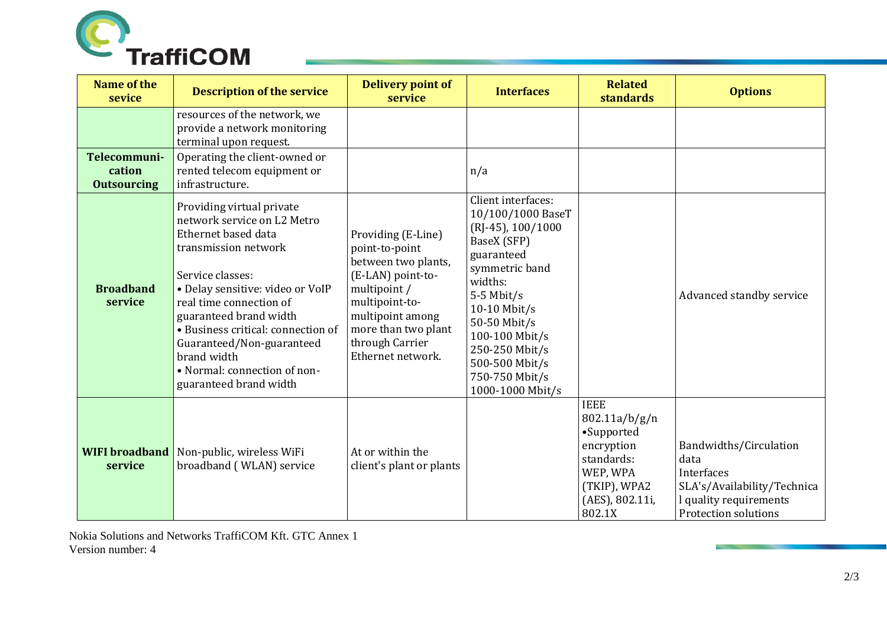

| <b>Name of the</b><br>sevice                 | <b>Description of the service</b>                                                                                                                                                                                                                                                                                                                                | <b>Delivery point of</b><br>service                                                                                                                                                                   | <b>Interfaces</b>                                                                                                                                                                                                                                                     | <b>Related</b><br><b>standards</b>                                                                                              | <b>Options</b>                                                                                                                |
|----------------------------------------------|------------------------------------------------------------------------------------------------------------------------------------------------------------------------------------------------------------------------------------------------------------------------------------------------------------------------------------------------------------------|-------------------------------------------------------------------------------------------------------------------------------------------------------------------------------------------------------|-----------------------------------------------------------------------------------------------------------------------------------------------------------------------------------------------------------------------------------------------------------------------|---------------------------------------------------------------------------------------------------------------------------------|-------------------------------------------------------------------------------------------------------------------------------|
|                                              | resources of the network, we<br>provide a network monitoring<br>terminal upon request.                                                                                                                                                                                                                                                                           |                                                                                                                                                                                                       |                                                                                                                                                                                                                                                                       |                                                                                                                                 |                                                                                                                               |
| Telecommuni-<br>cation<br><b>Outsourcing</b> | Operating the client-owned or<br>rented telecom equipment or<br>infrastructure.                                                                                                                                                                                                                                                                                  |                                                                                                                                                                                                       | n/a                                                                                                                                                                                                                                                                   |                                                                                                                                 |                                                                                                                               |
| <b>Broadband</b><br>service                  | Providing virtual private<br>network service on L2 Metro<br>Ethernet based data<br>transmission network<br>Service classes:<br>· Delay sensitive: video or VoIP<br>real time connection of<br>guaranteed brand width<br>· Business critical: connection of<br>Guaranteed/Non-guaranteed<br>brand width<br>• Normal: connection of non-<br>guaranteed brand width | Providing (E-Line)<br>point-to-point<br>between two plants,<br>(E-LAN) point-to-<br>multipoint /<br>multipoint-to-<br>multipoint among<br>more than two plant<br>through Carrier<br>Ethernet network. | Client interfaces:<br>10/100/1000 BaseT<br>$(RJ-45)$ , 100/1000<br>BaseX (SFP)<br>guaranteed<br>symmetric band<br>widths:<br>$5-5$ Mbit/s<br>10-10 Mbit/s<br>50-50 Mbit/s<br>100-100 Mbit/s<br>250-250 Mbit/s<br>500-500 Mbit/s<br>750-750 Mbit/s<br>1000-1000 Mbit/s |                                                                                                                                 | Advanced standby service                                                                                                      |
| <b>WIFI</b> broadband<br>service             | Non-public, wireless WiFi<br>broadband (WLAN) service                                                                                                                                                                                                                                                                                                            | At or within the<br>client's plant or plants                                                                                                                                                          |                                                                                                                                                                                                                                                                       | <b>IEEE</b><br>802.11a/b/g/n<br>•Supported<br>encryption<br>standards:<br>WEP, WPA<br>(TKIP), WPA2<br>(AES), 802.11i,<br>802.1X | Bandwidths/Circulation<br>data<br>Interfaces<br>SLA's/Availability/Technica<br>I quality requirements<br>Protection solutions |

Nokia Solutions and Networks TraffiCOM Kft. GTC Annex 1 Version number: 4